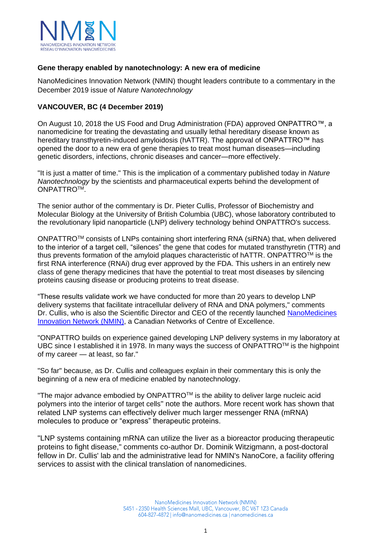

## **Gene therapy enabled by nanotechnology: A new era of medicine**

NanoMedicines Innovation Network (NMIN) thought leaders contribute to a commentary in the December 2019 issue of *Nature Nanotechnology*

## **VANCOUVER, BC (4 December 2019)**

On August 10, 2018 the US Food and Drug Administration (FDA) approved ONPATTRO™, a nanomedicine for treating the devastating and usually lethal hereditary disease known as hereditary transthyretin-induced amyloidosis (hATTR). The approval of ONPATTRO™ has opened the door to a new era of gene therapies to treat most human diseases—including genetic disorders, infections, chronic diseases and cancer—more effectively.

"It is just a matter of time." This is the implication of a commentary published today in *Nature Nanotechnology* by the scientists and pharmaceutical experts behind the development of ONPATTRO<sup>TM</sup>.

The senior author of the commentary is Dr. Pieter Cullis, Professor of Biochemistry and Molecular Biology at the University of British Columbia (UBC), whose laboratory contributed to the revolutionary lipid nanoparticle (LNP) delivery technology behind ONPATTRO's success.

ONPATTROTM consists of LNPs containing short interfering RNA (siRNA) that, when delivered to the interior of a target cell, "silences" the gene that codes for mutated transthyretin (TTR) and thus prevents formation of the amyloid plaques characteristic of hATTR. ONPATTROTM is the first RNA interference (RNAi) drug ever approved by the FDA. This ushers in an entirely new class of gene therapy medicines that have the potential to treat most diseases by silencing proteins causing disease or producing proteins to treat disease.

"These results validate work we have conducted for more than 20 years to develop LNP delivery systems that facilitate intracellular delivery of RNA and DNA polymers," comments Dr. Cullis, who is also the Scientific Director and CEO of the recently launched [NanoMedicines](https://www.nanomedicines.ca/researcher-db/)  [Innovation Network \(NMIN\),](https://www.nanomedicines.ca/researcher-db/) a Canadian Networks of Centre of Excellence.

"ONPATTRO builds on experience gained developing LNP delivery systems in my laboratory at UBC since I established it in 1978. In many ways the success of ONPATTROTM is the highpoint of my career — at least, so far."

"So far" because, as Dr. Cullis and colleagues explain in their commentary this is only the beginning of a new era of medicine enabled by nanotechnology.

"The major advance embodied by ONPATTROTM is the ability to deliver large nucleic acid polymers into the interior of target cells" note the authors. More recent work has shown that related LNP systems can effectively deliver much larger messenger RNA (mRNA) molecules to produce or "express" therapeutic proteins.

"LNP systems containing mRNA can utilize the liver as a bioreactor producing therapeutic proteins to fight disease," comments co-author Dr. Dominik Witzigmann, a post-doctoral fellow in Dr. Cullis' lab and the administrative lead for NMIN's NanoCore, a facility offering services to assist with the clinical translation of nanomedicines.